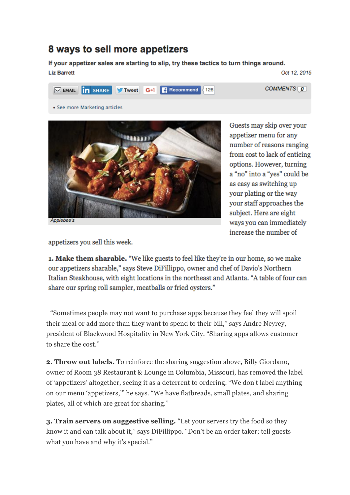## 8 ways to sell more appetizers

If your appetizer sales are starting to slip, try these tactics to turn things around. **Liz Barrett** Oct 12, 2015



• See more Marketing articles



Guests may skip over your appetizer menu for any number of reasons ranging from cost to lack of enticing options. However, turning a "no" into a "yes" could be as easy as switching up your plating or the way your staff approaches the subject. Here are eight ways you can immediately increase the number of

COMMENTS<sub>[0</sub>]

appetizers you sell this week.

1. Make them sharable. "We like guests to feel like they're in our home, so we make our appetizers sharable," says Steve DiFillippo, owner and chef of Davio's Northern Italian Steakhouse, with eight locations in the northeast and Atlanta. "A table of four can share our spring roll sampler, meatballs or fried oysters."

"Sometimes people may not want to purchase apps because they feel they will spoil their meal or add more than they want to spend to their bill," says Andre Neyrey, president of Blackwood Hospitality in New York City. "Sharing apps allows customer to share the cost."

**2. Throw out labels.** To reinforce the sharing suggestion above, Billy Giordano, owner of Room 38 Restaurant & Lounge in Columbia, Missouri, has removed the label of 'appetizers' altogether, seeing it as a deterrent to ordering. "We don't label anything on our menu 'appetizers,'" he says. "We have flatbreads, small plates, and sharing plates, all of which are great for sharing."

**3. Train servers on suggestive selling.** "Let your servers try the food so they know it and can talk about it," says DiFillippo. "Don't be an order taker; tell guests what you have and why it's special."